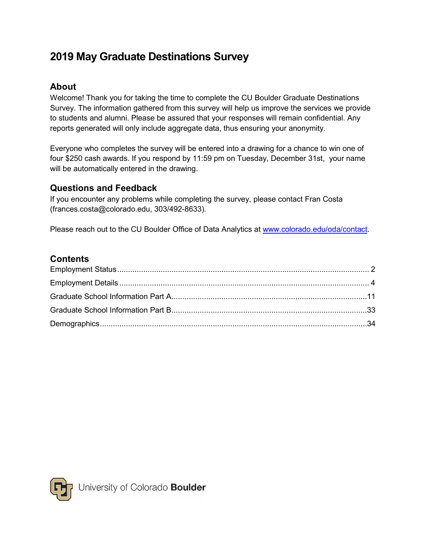# **2019 May Graduate Destinations Survey**

## **About**

Welcome! Thank you for taking the time to complete the CU Boulder Graduate Destinations Survey. The information gathered from this survey will help us improve the services we provide to students and alumni. Please be assured that your responses will remain confidential. Any reports generated will only include aggregate data, thus ensuring your anonymity.

Everyone who completes the survey will be entered into a drawing for a chance to win one of four \$250 cash awards. If you respond by 11:59 pm on Tuesday, December 31st, your name will be automatically entered in the drawing.

## **Questions and Feedback**

If you encounter any problems while completing the survey, please contact Fran Costa (frances.costa@colorado.edu, 303/492-8633).

Please reach out to the CU Boulder Office of Data Analytics at [www.colorado.edu/oda/contact.](file://ucbfiles.colorado.edu/oda/groups/ia/IR/survey/Adm/2019/comm/www.colorado.edu/oda/contact)

## **Contents**

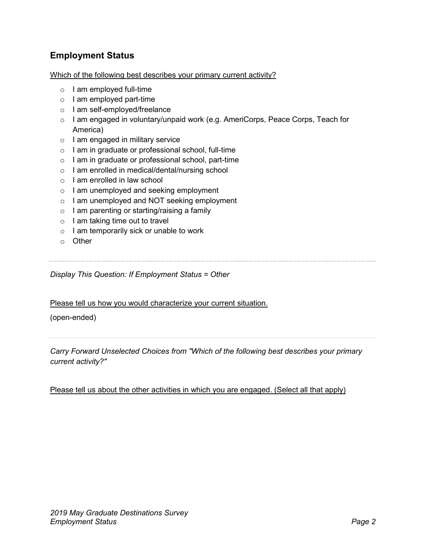## <span id="page-1-0"></span>**Employment Status**

Which of the following best describes your primary current activity?

- $\circ$  I am employed full-time
- o I am employed part-time
- o I am self-employed/freelance
- $\circ$  I am engaged in voluntary/unpaid work (e.g. AmeriCorps, Peace Corps, Teach for America)
- $\circ$  I am engaged in military service
- o I am in graduate or professional school, full-time
- o I am in graduate or professional school, part-time
- o I am enrolled in medical/dental/nursing school
- o I am enrolled in law school
- o I am unemployed and seeking employment
- o I am unemployed and NOT seeking employment
- $\circ$  I am parenting or starting/raising a family
- $\circ$  I am taking time out to travel
- $\circ$  I am temporarily sick or unable to work
- o Other

*Display This Question: If Employment Status = Other*

Please tell us how you would characterize your current situation.

#### (open-ended)

*Carry Forward Unselected Choices from "Which of the following best describes your primary current activity?"*

Please tell us about the other activities in which you are engaged. (Select all that apply)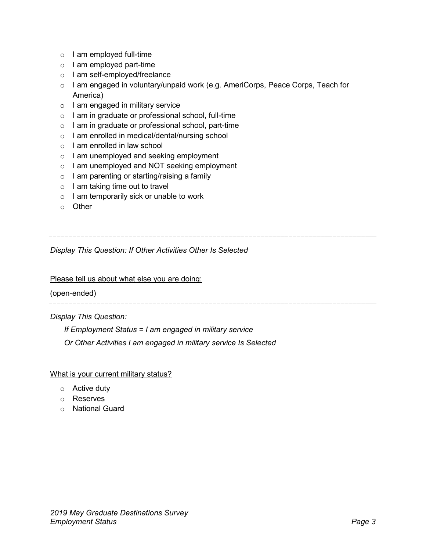- o I am employed full-time
- o I am employed part-time
- o I am self-employed/freelance
- $\circ$  I am engaged in voluntary/unpaid work (e.g. AmeriCorps, Peace Corps, Teach for America)
- $\circ$  I am engaged in military service
- o I am in graduate or professional school, full-time
- o I am in graduate or professional school, part-time
- o I am enrolled in medical/dental/nursing school
- o I am enrolled in law school
- o I am unemployed and seeking employment
- o I am unemployed and NOT seeking employment
- $\circ$  I am parenting or starting/raising a family
- $\circ$  I am taking time out to travel
- $\circ$  I am temporarily sick or unable to work
- o Other

## *Display This Question: If Other Activities Other Is Selected*

Please tell us about what else you are doing:

(open-ended)

*Display This Question:*

*If Employment Status = I am engaged in military service*

*Or Other Activities I am engaged in military service Is Selected*

What is your current military status?

- o Active duty
- o Reserves
- o National Guard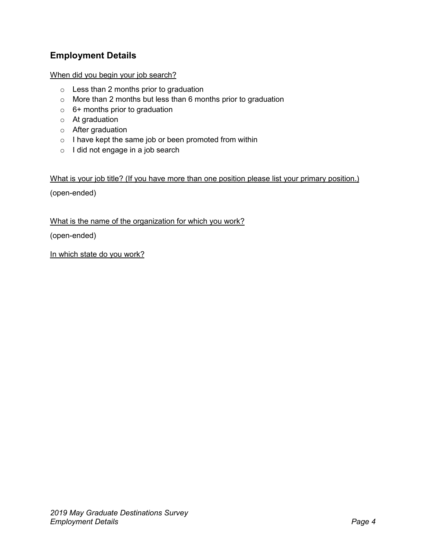## <span id="page-3-0"></span>**Employment Details**

#### When did you begin your job search?

- o Less than 2 months prior to graduation
- o More than 2 months but less than 6 months prior to graduation
- $\circ$  6+ months prior to graduation
- o At graduation
- o After graduation
- o I have kept the same job or been promoted from within
- o I did not engage in a job search

#### What is your job title? (If you have more than one position please list your primary position.)

(open-ended)

What is the name of the organization for which you work?

(open-ended)

In which state do you work?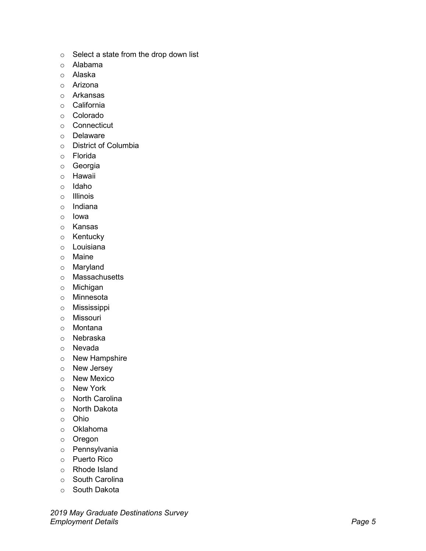- 
- 
- 
- 
- 
- 
- 
- 
- 
- 
- 
- 
- 
- 
- 
- 
- 
- 
- 
- 
- 
- 
- 
- 
- 
- 
- 
- 
- 
- 
- 
- 
- 
- 
- 
- 
- 
- 
- 
- 
- 
- 
- 
- 

*2019 May Graduate Destinations Survey* s Selecta siste from the drop down list<br>
a Alabama<br>
a Alabama<br>
a Arizona<br>
a California<br>
c California<br>
c California<br>
c California<br>
c California<br>
c Delavate<br>
c Delavate<br>
c Howaii<br>
c Howaii<br>
c Howaii<br>
c Howaii<br>
c Howaii<br>
c H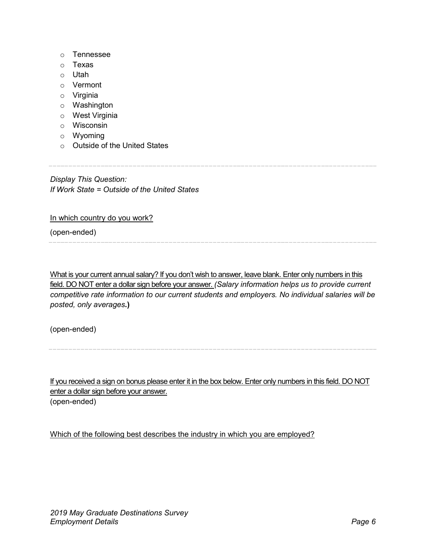- o Tennessee
- o Texas
- o Utah
- o Vermont
- o Virginia
- o Washington
- o West Virginia
- o Wisconsin
- o Wyoming
- o Outside of the United States

*Display This Question: If Work State = Outside of the United States*

In which country do you work?

(open-ended)

What is your current annual salary? If you don't wish to answer, leave blank. Enter only numbers in this field. DO NOT enter a dollar sign before your answer. *(Salary information helps us to provide current competitive rate information to our current students and employers. No individual salaries will be posted, only averages***.)**

(open-ended)

If you received a sign on bonus please enter it in the box below. Enter only numbers in this field. DO NOT enter a dollar sign before your answer. (open-ended)

Which of the following best describes the industry in which you are employed?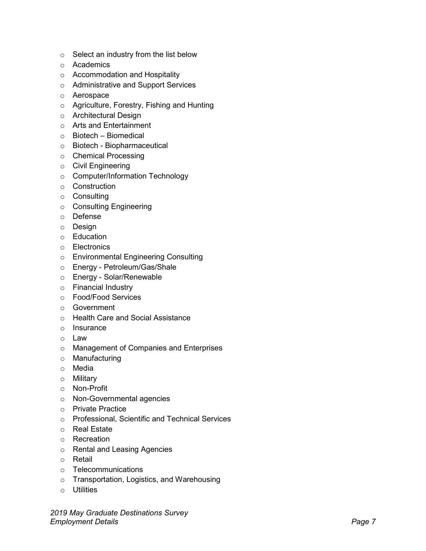- 
- 
- 
- 
- 
- 
- 
- 
- 
- 
- 
- 
- 
- 
- 
- 
- 
- 
- 
- 
- 
- 
- 
- 
- 
- 
- 
- 
- 
- 
- 
- 
- 
- 
- 
- 
- 
- 
- 
- 
- 
- 
- 
- 

*2019 May Graduate Destinations Survey* s Select an industry from the list below<br>
a Academies<br>
2 Academies<br>
a Academies<br>
a Academies<br>
c Architecture and Support Services<br>
c Architecture Theoretics<br>
c Architecture Theoretics<br>
2 Service Theoretics<br>
c Stotect). El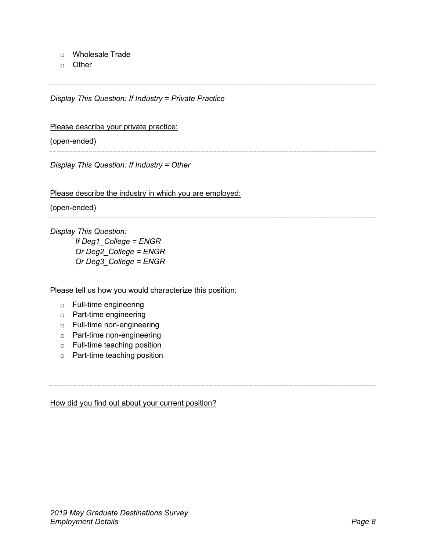- o Wholesale Trade
- o Other

*Display This Question: If Industry = Private Practice*

Please describe your private practice:

(open-ended)

*Display This Question: If Industry = Other*

Please describe the industry in which you are employed:

(open-ended)

*Display This Question:*

*If Deg1\_College = ENGR Or Deg2\_College = ENGR Or Deg3\_College = ENGR*

Please tell us how you would characterize this position:

- o Full-time engineering
- o Part-time engineering
- o Full-time non-engineering
- o Part-time non-engineering
- o Full-time teaching position
- o Part-time teaching position

How did you find out about your current position?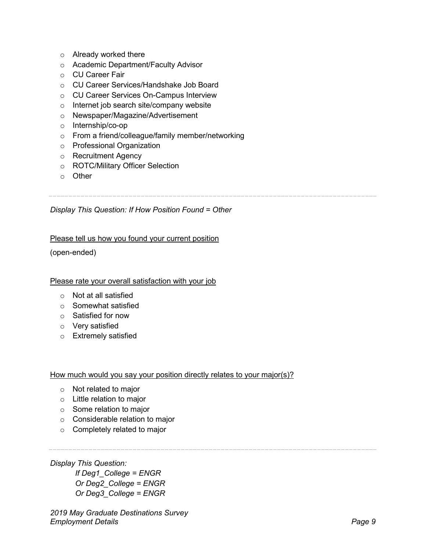- o Already worked there
- o Academic Department/Faculty Advisor
- o CU Career Fair
- o CU Career Services/Handshake Job Board
- o CU Career Services On-Campus Interview
- o Internet job search site/company website
- o Newspaper/Magazine/Advertisement
- o Internship/co-op
- o From a friend/colleague/family member/networking
- o Professional Organization
- o Recruitment Agency
- o ROTC/Military Officer Selection
- o Other

# *Display This Question: If How Position Found = Other*

#### Please tell us how you found your current position

(open-ended)

#### Please rate your overall satisfaction with your job

- o Not at all satisfied
- o Somewhat satisfied
- o Satisfied for now
- o Very satisfied
- o Extremely satisfied

#### How much would you say your position directly relates to your major(s)?

- o Not related to major
- o Little relation to major
- o Some relation to major
- o Considerable relation to major
- o Completely related to major

#### *Display This Question:*

*If Deg1\_College = ENGR Or Deg2\_College = ENGR Or Deg3\_College = ENGR*

*2019 May Graduate Destinations Survey Employment Details Page 9*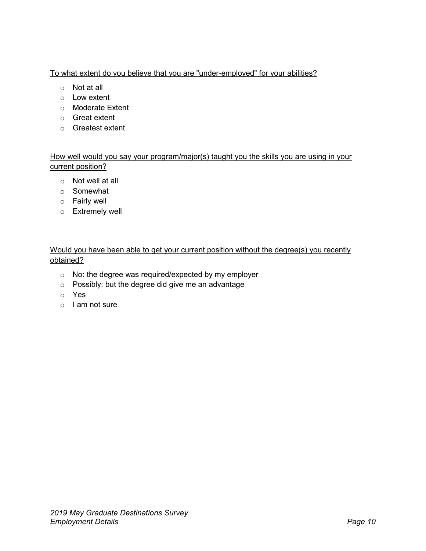#### To what extent do you believe that you are "under-employed" for your abilities?

- o Not at all
- o Low extent
- o Moderate Extent
- o Great extent
- o Greatest extent

How well would you say your program/major(s) taught you the skills you are using in your current position?

- o Not well at all
- o Somewhat
- o Fairly well
- o Extremely well

#### Would you have been able to get your current position without the degree(s) you recently obtained?

- o No: the degree was required/expected by my employer
- o Possibly: but the degree did give me an advantage
- o Yes
- o I am not sure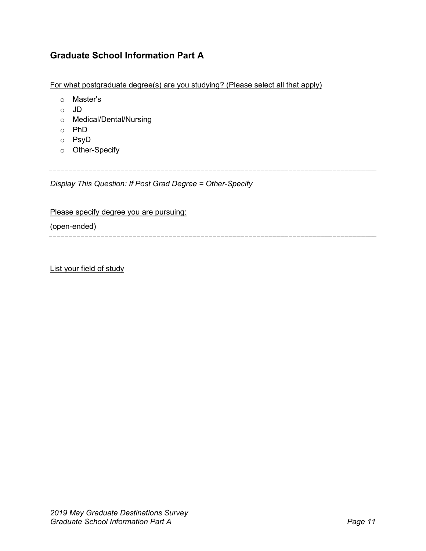## <span id="page-10-0"></span>**Graduate School Information Part A**

For what postgraduate degree(s) are you studying? (Please select all that apply)

- o Master's
- o JD
- o Medical/Dental/Nursing
- o PhD
- o PsyD
- o Other-Specify

*Display This Question: If Post Grad Degree = Other-Specify*

#### Please specify degree you are pursuing:

(open-ended)

List your field of study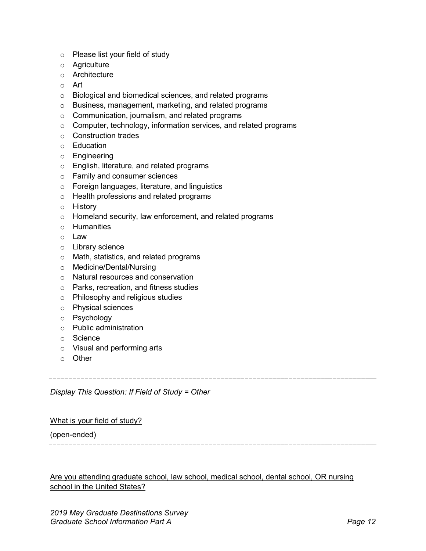- o Please list your field of study
- o Agriculture
- o Architecture
- o Art
- o Biological and biomedical sciences, and related programs
- o Business, management, marketing, and related programs
- o Communication, journalism, and related programs
- o Computer, technology, information services, and related programs
- o Construction trades
- o Education
- o Engineering
- o English, literature, and related programs
- o Family and consumer sciences
- o Foreign languages, literature, and linguistics
- o Health professions and related programs
- o History
- o Homeland security, law enforcement, and related programs
- o Humanities
- o Law
- o Library science
- o Math, statistics, and related programs
- o Medicine/Dental/Nursing
- o Natural resources and conservation
- o Parks, recreation, and fitness studies
- o Philosophy and religious studies
- o Physical sciences
- o Psychology
- o Public administration
- o Science
- o Visual and performing arts
- o Other

*Display This Question: If Field of Study = Other*

#### What is your field of study?

(open-ended)

#### Are you attending graduate school, law school, medical school, dental school, OR nursing school in the United States?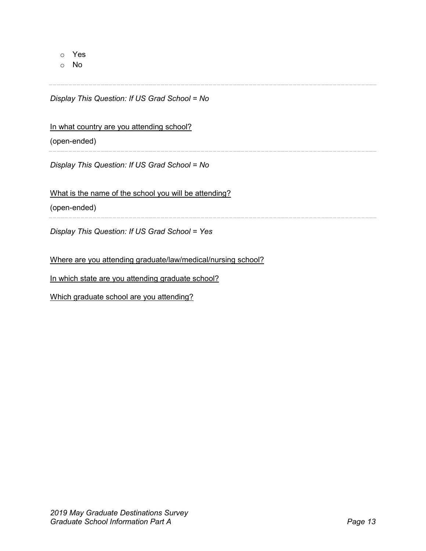o Yes

o No

*Display This Question: If US Grad School = No*

#### In what country are you attending school?

(open-ended)

*Display This Question: If US Grad School = No*

What is the name of the school you will be attending?

(open-ended)

*Display This Question: If US Grad School = Yes*

Where are you attending graduate/law/medical/nursing school?

In which state are you attending graduate school?

Which graduate school are you attending?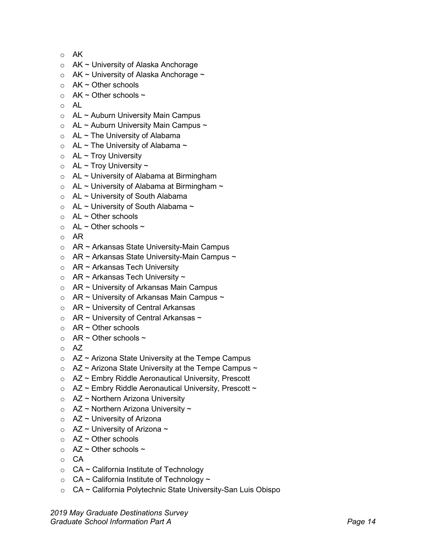- o AK
- o AK ~ University of Alaska Anchorage
- $\circ$  AK ~ University of Alaska Anchorage ~
- $\circ$  AK ~ Other schools
- AK  $\sim$  Other schools  $\sim$
- o AL
- $\circ$  AL ~ Auburn University Main Campus
- $\circ$  AL ~ Auburn University Main Campus ~
- $\circ$  AL ~ The University of Alabama
- $\circ$  AL ~ The University of Alabama ~
- $\circ$  AL ~ Troy University
- $\circ$  AL ~ Troy University ~
- $\circ$  AL ~ University of Alabama at Birmingham
- $\circ$  AL ~ University of Alabama at Birmingham ~
- $\circ$  AL ~ University of South Alabama
- $\circ$  AL ~ University of South Alabama ~
- $\circ$  AL ~ Other schools
- $\circ$  AL ~ Other schools ~
- o AR
- o AR ~ Arkansas State University-Main Campus
- $\circ$  AR ~ Arkansas State University-Main Campus ~
- $\circ$  AR ~ Arkansas Tech University
- $\circ$  AR ~ Arkansas Tech University ~
- $\circ$  AR ~ University of Arkansas Main Campus
- $\circ$  AR ~ University of Arkansas Main Campus ~
- o AR ~ University of Central Arkansas
- $\circ$  AR ~ University of Central Arkansas ~
- $\circ$  AR ~ Other schools
- $\circ$  AR ~ Other schools ~
- o AZ
- $\circ$  AZ ~ Arizona State University at the Tempe Campus
- $\circ$  AZ ~ Arizona State University at the Tempe Campus ~
- o AZ ~ Embry Riddle Aeronautical University, Prescott
- $\circ$  AZ ~ Embry Riddle Aeronautical University, Prescott ~
- $\circ$  AZ ~ Northern Arizona University
- $\circ$  AZ ~ Northern Arizona University ~
- $\circ$  AZ ~ University of Arizona
- $\circ$  AZ ~ University of Arizona ~
- $\circ$  AZ ~ Other schools
- $\circ$  AZ ~ Other schools ~
- o CA
- $\circ$  CA ~ California Institute of Technology
- $\circ$  CA ~ California Institute of Technology ~
- o CA ~ California Polytechnic State University-San Luis Obispo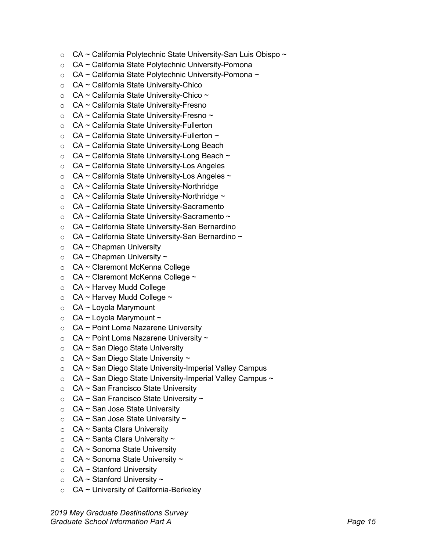- $\circ$  CA ~ California Polytechnic State University-San Luis Obispo ~
- o CA ~ California State Polytechnic University-Pomona
- $\circ$  CA ~ California State Polytechnic University-Pomona ~
- o CA ~ California State University-Chico
- $\circ$  CA ~ California State University-Chico ~
- $\circ$  CA ~ California State University-Fresno
- $\circ$  CA ~ California State University-Fresno ~
- $\circ$  CA ~ California State University-Fullerton
- $\circ$  CA ~ California State University-Fullerton ~
- o CA ~ California State University-Long Beach
- $\circ$  CA ~ California State University-Long Beach ~
- o CA ~ California State University-Los Angeles
- $\circ$  CA ~ California State University-Los Angeles ~
- o CA ~ California State University-Northridge
- $\circ$  CA ~ California State University-Northridge ~
- o CA ~ California State University-Sacramento
- $\circ$  CA ~ California State University-Sacramento ~
- o CA ~ California State University-San Bernardino
- $\circ$  CA ~ California State University-San Bernardino ~
- $\circ$  CA ~ Chapman University
- $\circ$  CA ~ Chapman University ~
- o CA ~ Claremont McKenna College
- $\circ$  CA ~ Claremont McKenna College ~
- o CA ~ Harvey Mudd College
- $\circ$  CA ~ Harvey Mudd College ~
- $\circ$  CA ~ Loyola Marymount
- $\circ$  CA ~ Loyola Marymount ~
- o CA ~ Point Loma Nazarene University
- $\circ$  CA ~ Point Loma Nazarene University ~
- $\circ$  CA ~ San Diego State University
- $\circ$  CA ~ San Diego State University ~
- $\circ$  CA ~ San Diego State University-Imperial Valley Campus
- $\circ$  CA ~ San Diego State University-Imperial Valley Campus ~
- $\circ$  CA ~ San Francisco State University
- $\circ$  CA ~ San Francisco State University ~
- $\circ$  CA ~ San Jose State University
- $\circ$  CA ~ San Jose State University ~
- $\circ$  CA ~ Santa Clara University
- $\circ$  CA ~ Santa Clara University ~
- $\circ$  CA ~ Sonoma State University
- $\circ$  CA ~ Sonoma State University ~
- $\circ$  CA ~ Stanford University
- $\circ$  CA ~ Stanford University ~
- $\circ$  CA ~ University of California-Berkeley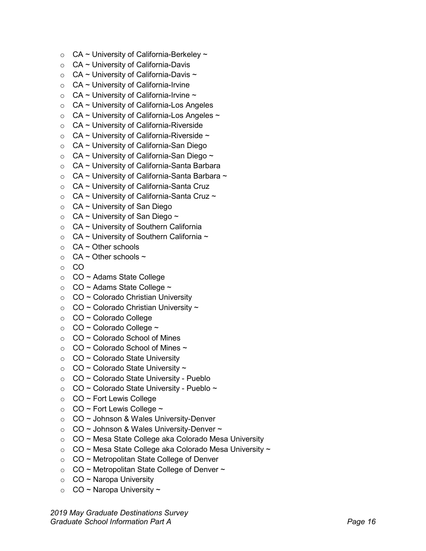- $\circ$  CA ~ University of California-Berkeley ~
- $\circ$  CA ~ University of California-Davis
- $\circ$  CA ~ University of California-Davis ~
- $\circ$  CA ~ University of California-Irvine
- $\circ$  CA ~ University of California-Irvine ~
- $\circ$  CA ~ University of California-Los Angeles
- $\circ$  CA ~ University of California-Los Angeles ~
- $\circ$  CA ~ University of California-Riverside
- $\circ$  CA ~ University of California-Riverside ~
- $\circ$  CA ~ University of California-San Diego
- $\circ$  CA ~ University of California-San Diego ~
- o CA ~ University of California-Santa Barbara
- $\circ$  CA ~ University of California-Santa Barbara ~
- $\circ$  CA ~ University of California-Santa Cruz
- $\circ$  CA ~ University of California-Santa Cruz ~
- $\circ$  CA ~ University of San Diego
- $\circ$  CA ~ University of San Diego ~
- o CA ~ University of Southern California
- $\circ$  CA ~ University of Southern California ~
- $\circ$  CA ~ Other schools
- $\circ$  CA ~ Other schools ~
- o CO
- o CO ~ Adams State College
- $\circ$  CO ~ Adams State College ~
- $\circ$  CO ~ Colorado Christian University
- $\circ$  CO ~ Colorado Christian University ~
- o CO ~ Colorado College
- $\circ$  CO ~ Colorado College ~
- $\circ$  CO ~ Colorado School of Mines
- $\circ$  CO ~ Colorado School of Mines ~
- $\circ$  CO ~ Colorado State University
- $\circ$  CO ~ Colorado State University ~
- o CO ~ Colorado State University Pueblo
- $\circ$  CO ~ Colorado State University Pueblo ~
- $\circ$  CO ~ Fort Lewis College
- $\circ$  CO ~ Fort Lewis College ~
- o CO ~ Johnson & Wales University-Denver
- $\circ$  CO ~ Johnson & Wales University-Denver ~
- o CO ~ Mesa State College aka Colorado Mesa University
- $\circ$  CO ~ Mesa State College aka Colorado Mesa University ~
- o CO ~ Metropolitan State College of Denver
- $\circ$  CO ~ Metropolitan State College of Denver ~
- $\circ$  CO ~ Naropa University
- $\circ$  CO ~ Naropa University ~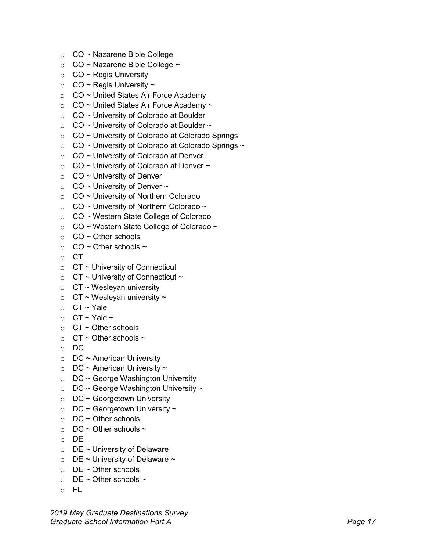- o CO ~ Nazarene Bible College
- $\circ$  CO ~ Nazarene Bible College ~
- $\circ$  CO ~ Regis University
- $\circ$  CO ~ Regis University ~
- $\circ$  CO ~ United States Air Force Academy
- $\circ$  CO ~ United States Air Force Academy ~
- $\circ$  CO ~ University of Colorado at Boulder
- $\circ$  CO ~ University of Colorado at Boulder ~
- $\circ$  CO ~ University of Colorado at Colorado Springs
- $\circ$  CO ~ University of Colorado at Colorado Springs ~
- $\circ$  CO ~ University of Colorado at Denver
- $\circ$  CO ~ University of Colorado at Denver ~
- $\circ$  CO ~ University of Denver
- $\circ$  CO ~ University of Denver ~
- o CO ~ University of Northern Colorado
- $\circ$  CO ~ University of Northern Colorado ~
- o CO ~ Western State College of Colorado
- $\circ$  CO ~ Western State College of Colorado ~
- $\circ$  CO ~ Other schools
- $\circ$  CO ~ Other schools ~
- o CT
- $\circ$  CT ~ University of Connecticut
- $\circ$  CT ~ University of Connecticut ~
- $\circ$  CT ~ Wesleyan university
- $\circ$  CT ~ Wesleyan university ~
- $O$  CT ~ Yale
- $\circ$  CT ~ Yale ~
- $\circ$  CT ~ Other schools
- $\circ$  CT ~ Other schools ~
- o DC
- $\circ$  DC ~ American University
- $\circ$  DC ~ American University ~
- $\circ$  DC ~ George Washington University
- $\circ$  DC ~ George Washington University ~
- $\circ$  DC ~ Georgetown University
- $\circ$  DC ~ Georgetown University ~
- $\circ$  DC ~ Other schools
- $\circ$  DC ~ Other schools ~
- o DE
- $\circ$  DE ~ University of Delaware
- $\circ$  DE ~ University of Delaware ~
- $\circ$  DE ~ Other schools
- $\circ$  DE ~ Other schools ~
- o FL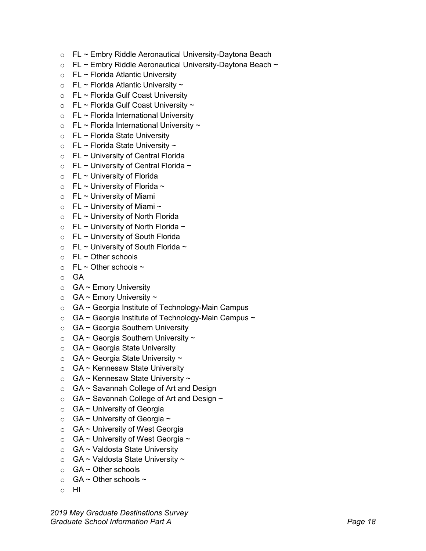- o FL ~ Embry Riddle Aeronautical University-Daytona Beach
- $\circ$  FL ~ Embry Riddle Aeronautical University-Daytona Beach ~
- $\circ$  FL ~ Florida Atlantic University
- $\circ$  FL ~ Florida Atlantic University ~
- o FL ~ Florida Gulf Coast University
- $\circ$  FL ~ Florida Gulf Coast University ~
- $\circ$  FL ~ Florida International University
- $\circ$  FL ~ Florida International University ~
- $\circ$  FL ~ Florida State University
- $\circ$  FL ~ Florida State University ~
- $\circ$  FL ~ University of Central Florida
- $\circ$  FL ~ University of Central Florida ~
- $\circ$  FL ~ University of Florida
- $\circ$  FL ~ University of Florida ~
- $\circ$  FL ~ University of Miami
- $\circ$  FL ~ University of Miami ~
- $\circ$  FL ~ University of North Florida
- $\circ$  FL ~ University of North Florida ~
- $\circ$  FL ~ University of South Florida
- $\circ$  FL ~ University of South Florida ~
- $\circ$  FL ~ Other schools
- $\circ$  FL ~ Other schools ~
- o GA
- $\circ$  GA ~ Emory University
- $\circ$  GA ~ Emory University ~
- o GA ~ Georgia Institute of Technology-Main Campus
- $\circ$  GA ~ Georgia Institute of Technology-Main Campus ~
- $\circ$  GA ~ Georgia Southern University
- $\circ$  GA ~ Georgia Southern University ~
- o GA ~ Georgia State University
- $\circ$  GA ~ Georgia State University ~
- o GA ~ Kennesaw State University
- $\circ$  GA ~ Kennesaw State University ~
- $\circ$  GA ~ Savannah College of Art and Design
- $\circ$  GA ~ Savannah College of Art and Design ~
- $\circ$  GA ~ University of Georgia
- $\circ$  GA ~ University of Georgia ~
- o GA ~ University of West Georgia
- $\circ$  GA ~ University of West Georgia ~
- o GA ~ Valdosta State University
- $\circ$  GA ~ Valdosta State University ~
- $\circ$  GA ~ Other schools
- $\circ$  GA ~ Other schools ~
- o HI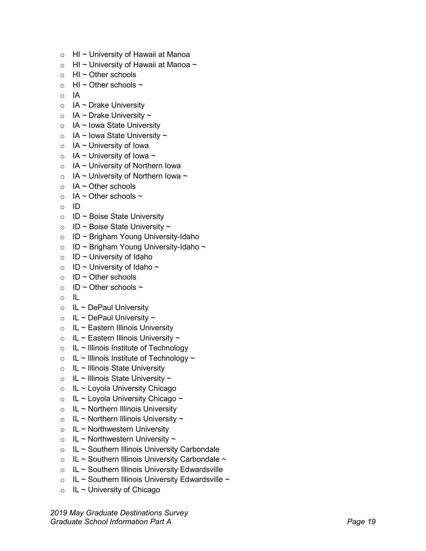- 
- 
- 
- 
- 
- 
- 
- 
- 
- 
- 
- 
- 
- 
- 
- 
- 
- 
- 
- 
- 
- 
- 
- 
- 
- 
- 
- 
- 
- 
- 
- 
- 
- 
- 
- 
- 
- 
- 
- 
- 
- 
- 
- 

*2019 May Graduate Destinations Survey* c Hi – Chinessily of Hawaii at Manoa<br>
c Hi – Chinessily of Hawaii at Manoa<br>
c Hi – Chine schools<br>
- H – Chine schools<br>
- H – Chine schools<br>
- TA – Drake University<br>
- TA – Drake University<br>
- TA – Low State University<br>
-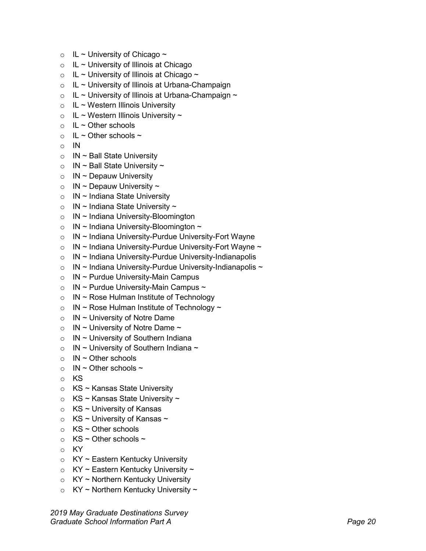- $\circ$  IL ~ University of Chicago ~
- $\circ$  IL ~ University of Illinois at Chicago
- $\circ$  IL ~ University of Illinois at Chicago ~
- $\circ$  IL ~ University of Illinois at Urbana-Champaign
- $\circ$  IL ~ University of Illinois at Urbana-Champaign ~
- $\circ$  IL ~ Western Illinois University
- $\circ$  IL ~ Western Illinois University ~
- $\circ$  IL ~ Other schools
- $\circ$  IL ~ Other schools ~
- $\circ$  IN
- $\circ$  IN ~ Ball State University
- $\circ$  IN ~ Ball State University ~
- $\circ$  IN ~ Depauw University
- $\circ$  IN ~ Depauw University ~
- $\circ$  IN ~ Indiana State University
- $\circ$  IN ~ Indiana State University ~
- $\circ$  IN ~ Indiana University-Bloomington
- $\circ$  IN ~ Indiana University-Bloomington ~
- $\circ$  IN ~ Indiana University-Purdue University-Fort Wayne
- $\circ$  IN ~ Indiana University-Purdue University-Fort Wayne ~
- o IN ~ Indiana University-Purdue University-Indianapolis
- $\circ$  IN ~ Indiana University-Purdue University-Indianapolis ~
- $\circ$  IN ~ Purdue University-Main Campus
- $\circ$  IN ~ Purdue University-Main Campus ~
- $\circ$  IN ~ Rose Hulman Institute of Technology
- $\circ$  IN ~ Rose Hulman Institute of Technology ~
- $\circ$  IN ~ University of Notre Dame
- $\circ$  IN ~ University of Notre Dame ~
- $\circ$  IN ~ University of Southern Indiana
- $\circ$  IN ~ University of Southern Indiana ~
- $\circ$  IN ~ Other schools
- $\circ$  IN ~ Other schools ~
- o KS
- $\circ$  KS ~ Kansas State University
- $\circ$  KS ~ Kansas State University ~
- $\circ$  KS ~ University of Kansas
- $\circ$  KS ~ University of Kansas ~
- $\circ$  KS ~ Other schools
- $\circ$  KS ~ Other schools ~
- o KY
- $\circ$  KY ~ Eastern Kentucky University
- $\circ$  KY ~ Eastern Kentucky University ~
- $\circ$  KY ~ Northern Kentucky University
- $\circ$  KY ~ Northern Kentucky University ~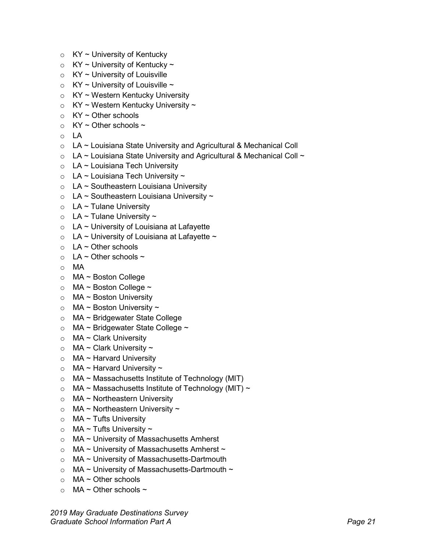- $\circ$  KY ~ University of Kentucky
- $\circ$  KY ~ University of Kentucky ~
- $\circ$  KY ~ University of Louisville
- $\circ$  KY ~ University of Louisville ~
- $\circ$  KY ~ Western Kentucky University
- $\circ$  KY ~ Western Kentucky University ~
- $\circ$  KY ~ Other schools
- $\circ$  KY ~ Other schools ~
- o LA
- o LA ~ Louisiana State University and Agricultural & Mechanical Coll
- $\circ$  LA ~ Louisiana State University and Agricultural & Mechanical Coll ~
- $\circ$  LA ~ Louisiana Tech University
- $\circ$  LA ~ Louisiana Tech University ~
- $\circ$  LA ~ Southeastern Louisiana University
- $\circ$  LA ~ Southeastern Louisiana University ~
- $\circ$  LA ~ Tulane University
- $\circ$  LA ~ Tulane University ~
- $\circ$  LA ~ University of Louisiana at Lafayette
- $\circ$  LA ~ University of Louisiana at Lafayette ~
- $\circ$  LA ~ Other schools
- $\circ$  LA ~ Other schools ~
- o MA
- o MA ~ Boston College
- $\circ$  MA ~ Boston College ~
- $\circ$  MA ~ Boston University
- $\circ$  MA ~ Boston University ~
- o MA ~ Bridgewater State College
- $\circ$  MA ~ Bridgewater State College ~
- $\circ$  MA ~ Clark University
- $\circ$  MA ~ Clark University ~
- $\circ$  MA ~ Harvard University
- $\circ$  MA ~ Harvard University ~
- $\circ$  MA ~ Massachusetts Institute of Technology (MIT)
- $\circ$  MA ~ Massachusetts Institute of Technology (MIT) ~
- $\circ$  MA ~ Northeastern University
- $\circ$  MA ~ Northeastern University ~
- $\circ$  MA ~ Tufts University
- $\circ$  MA ~ Tufts University ~
- $\circ$  MA ~ University of Massachusetts Amherst
- $\circ$  MA ~ University of Massachusetts Amherst ~
- o MA ~ University of Massachusetts-Dartmouth
- $\circ$  MA ~ University of Massachusetts-Dartmouth ~
- o MA ~ Other schools
- $\circ$  MA ~ Other schools ~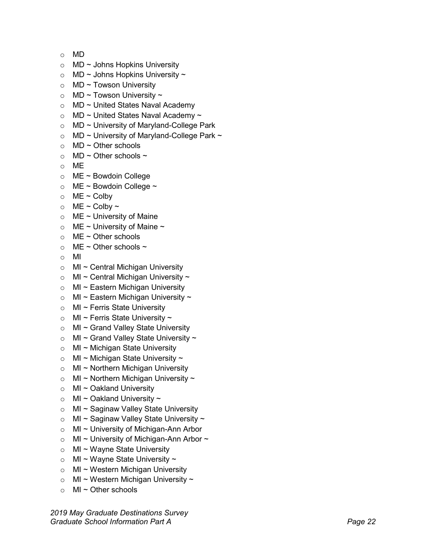- 
- 
- 
- 
- 
- 
- 
- 
- 
- 
- 
- 
- 
- 
- 
- 
- 
- 
- 
- 
- 
- 
- 
- 
- 
- 
- 
- 
- 
- 
- 
- 
- 
- 
- 
- 
- 
- 
- 
- 
- 
- 
- 
- 

*2019 May Graduate Destinations Survey* s MD<br>
ND - Johns Hopkins University<br>
SID - Johns Hopkins University<br>
SID - Travacon University<br>
SID - Travacon University<br>
SID - University and Anademy<br>
SID - University of Maryland-College Park<br>
AD - University of Maryla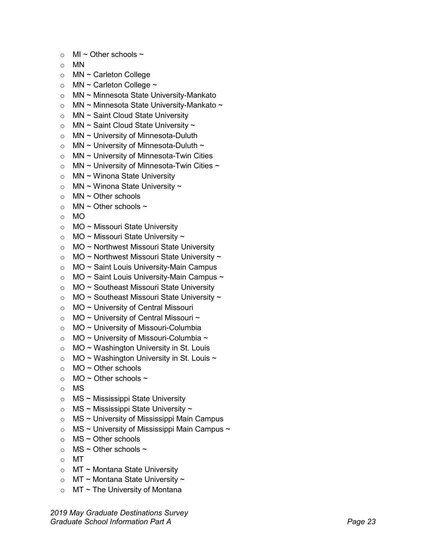- 
- 
- 
- 
- 
- 
- 
- 
- 
- 
- 
- 
- 
- 
- 
- 
- 
- 
- 
- 
- 
- 
- 
- 
- 
- 
- 
- 
- 
- 
- 
- 
- 
- 
- 
- 
- 
- 
- 
- 
- 
- 
- 
- 

*2019 May Graduate Destinations Survey* s Mi – Chine schools –<br>
S MN<br>
S MN – Carlelon College<br>
S MN – Carlelon College<br>
S MN – Minnesota State University-Mankato<br>
S MN – Minnesota State University-Mankato<br>
S MN – Saint Cloud State University<br>
S MN – Saint Cloud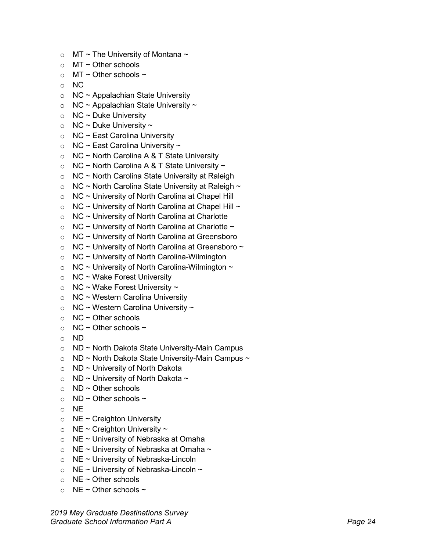- $\circ$  MT ~ The University of Montana ~
- $\circ$  MT ~ Other schools
- $\circ$  MT ~ Other schools ~
- o NC
- $\circ$  NC ~ Appalachian State University
- $\circ$  NC ~ Appalachian State University ~
- $\circ$  NC ~ Duke University
- $\circ$  NC ~ Duke University ~
- $\circ$  NC ~ East Carolina University
- $\circ$  NC ~ East Carolina University ~
- $\circ$  NC ~ North Carolina A & T State University
- $\circ$  NC ~ North Carolina A & T State University ~
- $\circ$  NC ~ North Carolina State University at Raleigh
- $\circ$  NC ~ North Carolina State University at Raleigh ~
- $\circ$  NC ~ University of North Carolina at Chapel Hill
- $\circ$  NC ~ University of North Carolina at Chapel Hill ~
- $\circ$  NC ~ University of North Carolina at Charlotte
- $\circ$  NC ~ University of North Carolina at Charlotte ~
- o NC ~ University of North Carolina at Greensboro
- $\circ$  NC ~ University of North Carolina at Greensboro ~
- $\circ$  NC ~ University of North Carolina-Wilmington
- $\circ$  NC ~ University of North Carolina-Wilmington ~
- $\circ$  NC ~ Wake Forest University
- $\circ$  NC ~ Wake Forest University ~
- $\circ$  NC ~ Western Carolina University
- $\circ$  NC ~ Western Carolina University ~
- $\circ$  NC ~ Other schools
- $\circ$  NC ~ Other schools ~
- o ND
- o ND ~ North Dakota State University-Main Campus
- $\circ$  ND ~ North Dakota State University-Main Campus ~
- $\circ$  ND ~ University of North Dakota
- $\circ$  ND ~ University of North Dakota ~
- $\circ$  ND ~ Other schools
- $\circ$  ND ~ Other schools ~
- o NE
- $\circ$  NE ~ Creighton University
- $\circ$  NE ~ Creighton University ~
- $\circ$  NE ~ University of Nebraska at Omaha
- $\circ$  NE ~ University of Nebraska at Omaha ~
- o NE ~ University of Nebraska-Lincoln
- $\circ$  NE ~ University of Nebraska-Lincoln ~
- $\circ$  NE ~ Other schools
- $\circ$  NE ~ Other schools ~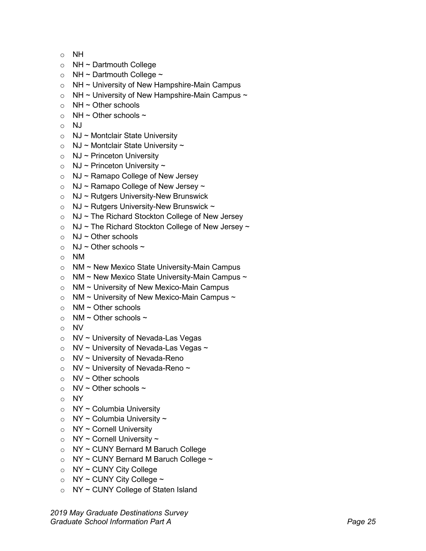- o NH
- $\circ$  NH ~ Dartmouth College
- $\circ$  NH ~ Dartmouth College ~
- $\circ$  NH ~ University of New Hampshire-Main Campus
- $\circ$  NH ~ University of New Hampshire-Main Campus ~
- $\circ$  NH ~ Other schools
- $\circ$  NH ~ Other schools ~
- o NJ
- $\circ$  NJ ~ Montclair State University
- $\circ$  NJ ~ Montclair State University ~
- $\circ$  NJ ~ Princeton University
- $\circ$  NJ ~ Princeton University ~
- $\circ$  NJ ~ Ramapo College of New Jersey
- $\circ$  NJ ~ Ramapo College of New Jersey ~
- $\circ$  NJ ~ Rutgers University-New Brunswick
- $\circ$  NJ ~ Rutgers University-New Brunswick ~
- $\circ$  NJ ~ The Richard Stockton College of New Jersey
- $\circ$  NJ ~ The Richard Stockton College of New Jersey ~
- $\circ$  NJ ~ Other schools
- $\circ$  NJ ~ Other schools ~
- o NM
- o NM ~ New Mexico State University-Main Campus
- $\circ$  NM ~ New Mexico State University-Main Campus ~
- o NM ~ University of New Mexico-Main Campus
- $\circ$  NM ~ University of New Mexico-Main Campus ~
- $\circ$  NM ~ Other schools
- $\circ$  NM ~ Other schools ~
- o NV
- o NV ~ University of Nevada-Las Vegas
- $\circ$  NV ~ University of Nevada-Las Vegas ~
- $\circ$  NV ~ University of Nevada-Reno
- $\circ$  NV ~ University of Nevada-Reno ~
- $\circ$  NV ~ Other schools
- $\circ$  NV ~ Other schools ~
- o NY
- $\circ$  NY ~ Columbia University
- $\circ$  NY ~ Columbia University ~
- $\circ$  NY ~ Cornell University
- $\circ$  NY ~ Cornell University ~
- o NY ~ CUNY Bernard M Baruch College
- $\circ$  NY ~ CUNY Bernard M Baruch College ~
- $\circ$  NY ~ CUNY City College
- $\circ$  NY ~ CUNY City College ~
- o NY ~ CUNY College of Staten Island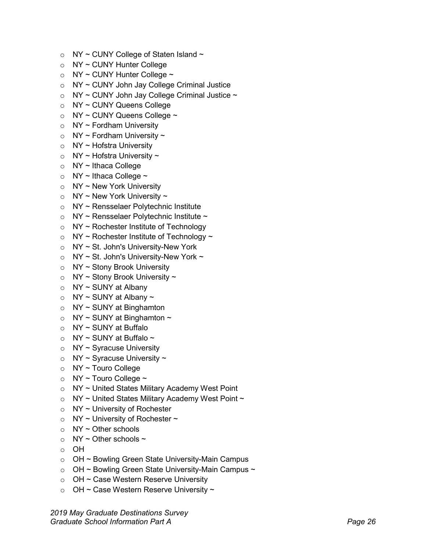- $\circ$  NY ~ CUNY College of Staten Island ~
- o NY ~ CUNY Hunter College
- $\circ$  NY ~ CUNY Hunter College ~
- o NY ~ CUNY John Jay College Criminal Justice
- $\circ$  NY ~ CUNY John Jay College Criminal Justice ~
- o NY ~ CUNY Queens College
- $\circ$  NY ~ CUNY Queens College ~
- $\circ$  NY ~ Fordham University
- $\circ$  NY ~ Fordham University ~
- o NY ~ Hofstra University
- $\circ$  NY ~ Hofstra University ~
- $\circ$  NY ~ Ithaca College
- $\circ$  NY ~ Ithaca College ~
- $\circ$  NY ~ New York University
- $\circ$  NY ~ New York University ~
- o NY ~ Rensselaer Polytechnic Institute
- $\circ$  NY ~ Rensselaer Polytechnic Institute ~
- $\circ$  NY ~ Rochester Institute of Technology
- $\circ$  NY ~ Rochester Institute of Technology ~
- o NY ~ St. John's University-New York
- $\circ$  NY ~ St. John's University-New York ~
- $\circ$  NY ~ Stony Brook University
- $\circ$  NY ~ Stony Brook University ~
- $\circ$  NY ~ SUNY at Albany
- $\circ$  NY ~ SUNY at Albany ~
- $\circ$  NY ~ SUNY at Binghamton
- $\circ$  NY ~ SUNY at Binghamton ~
- $\circ$  NY ~ SUNY at Buffalo
- $\circ$  NY ~ SUNY at Buffalo ~
- $\circ$  NY ~ Syracuse University
- $\circ$  NY ~ Syracuse University ~
- o NY ~ Touro College
- $\circ$  NY ~ Touro College ~
- $\circ$  NY ~ United States Military Academy West Point
- $\circ$  NY ~ United States Military Academy West Point ~
- $\circ$  NY ~ University of Rochester
- $\circ$  NY ~ University of Rochester ~
- $\circ$  NY ~ Other schools
- $\circ$  NY ~ Other schools ~
- o OH
- o OH ~ Bowling Green State University-Main Campus
- $\circ$  OH ~ Bowling Green State University-Main Campus ~
- o OH ~ Case Western Reserve University
- $\circ$  OH ~ Case Western Reserve University ~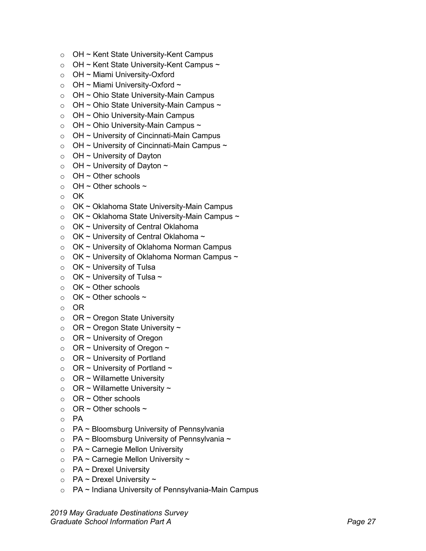- o OH ~ Kent State University-Kent Campus
- $\circ$  OH ~ Kent State University-Kent Campus ~
- o OH ~ Miami University-Oxford
- $\circ$  OH ~ Miami University-Oxford ~
- o OH ~ Ohio State University-Main Campus
- $\circ$  OH ~ Ohio State University-Main Campus ~
- $\circ$  OH ~ Ohio University-Main Campus
- $\circ$  OH ~ Ohio University-Main Campus ~
- $\circ$  OH ~ University of Cincinnati-Main Campus
- $\circ$  OH ~ University of Cincinnati-Main Campus ~
- $\circ$  OH ~ University of Dayton
- $\circ$  OH ~ University of Dayton ~
- $\circ$  OH ~ Other schools
- $\circ$  OH ~ Other schools ~
- o OK
- o OK ~ Oklahoma State University-Main Campus
- $\circ$  OK ~ Oklahoma State University-Main Campus ~
- o OK ~ University of Central Oklahoma
- $\circ$  OK ~ University of Central Oklahoma ~
- o OK ~ University of Oklahoma Norman Campus
- $\circ$  OK ~ University of Oklahoma Norman Campus ~
- $\circ$  OK ~ University of Tulsa
- $\circ$  OK ~ University of Tulsa ~
- $\circ$  OK ~ Other schools
- $\circ$  OK ~ Other schools ~
- o OR
- $\circ$  OR ~ Oregon State University
- $\circ$  OR ~ Oregon State University ~
- $\circ$  OR ~ University of Oregon
- $\circ$  OR ~ University of Oregon ~
- $\circ$  OR ~ University of Portland
- $\circ$  OR ~ University of Portland ~
- $\circ$  OR ~ Willamette University
- $\circ$  OR ~ Willamette University ~
- $\circ$  OR ~ Other schools
- $\circ$  OR ~ Other schools ~
- o PA
- o PA ~ Bloomsburg University of Pennsylvania
- $\circ$  PA ~ Bloomsburg University of Pennsylvania ~
- $\circ$  PA ~ Carnegie Mellon University
- $\circ$  PA ~ Carnegie Mellon University ~
- $\circ$  PA ~ Drexel University
- $\circ$  PA ~ Drexel University ~
- o PA ~ Indiana University of Pennsylvania-Main Campus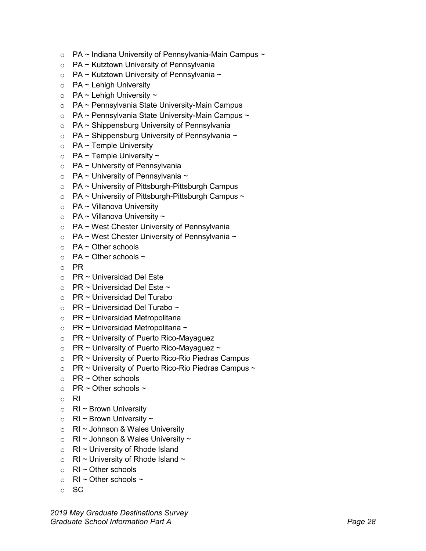- $\circ$  PA ~ Indiana University of Pennsylvania-Main Campus ~
- $\circ$  PA ~ Kutztown University of Pennsylvania
- $\circ$  PA ~ Kutztown University of Pennsylvania ~
- $\circ$  PA ~ Lehigh University
- $\circ$  PA ~ Lehigh University ~
- o PA ~ Pennsylvania State University-Main Campus
- $\circ$  PA ~ Pennsylvania State University-Main Campus ~
- $\circ$  PA ~ Shippensburg University of Pennsylvania
- $\circ$  PA ~ Shippensburg University of Pennsylvania ~
- $\circ$  PA ~ Temple University
- $\circ$  PA ~ Temple University ~
- $\circ$  PA ~ University of Pennsylvania
- $\circ$  PA ~ University of Pennsylvania ~
- $\circ$  PA ~ University of Pittsburgh-Pittsburgh Campus
- $\circ$  PA ~ University of Pittsburgh-Pittsburgh Campus ~
- $\circ$  PA ~ Villanova University
- $\circ$  PA ~ Villanova University ~
- o PA ~ West Chester University of Pennsylvania
- $\circ$  PA ~ West Chester University of Pennsylvania ~
- $\circ$  PA ~ Other schools
- $\circ$  PA ~ Other schools ~
- o PR
- $\circ$  PR ~ Universidad Del Este
- $\circ$  PR ~ Universidad Del Este ~
- o PR ~ Universidad Del Turabo
- $\circ$  PR ~ Universidad Del Turabo ~
- $\circ$  PR ~ Universidad Metropolitana
- $\circ$  PR ~ Universidad Metropolitana ~
- $\circ$  PR ~ University of Puerto Rico-Mayaguez
- $\circ$  PR ~ University of Puerto Rico-Mayaguez ~
- $\circ$  PR ~ University of Puerto Rico-Rio Piedras Campus
- $\circ$  PR ~ University of Puerto Rico-Rio Piedras Campus ~
- $\circ$  PR ~ Other schools
- $\circ$  PR ~ Other schools ~
- o RI
- $\circ$  RI ~ Brown University
- $\circ$  RI ~ Brown University ~
- o RI ~ Johnson & Wales University
- $\circ$  RI ~ Johnson & Wales University ~
- $\circ$  RI ~ University of Rhode Island
- $\circ$  RI ~ University of Rhode Island ~
- $\circ$  RI ~ Other schools
- $\circ$  RI ~ Other schools ~
- o SC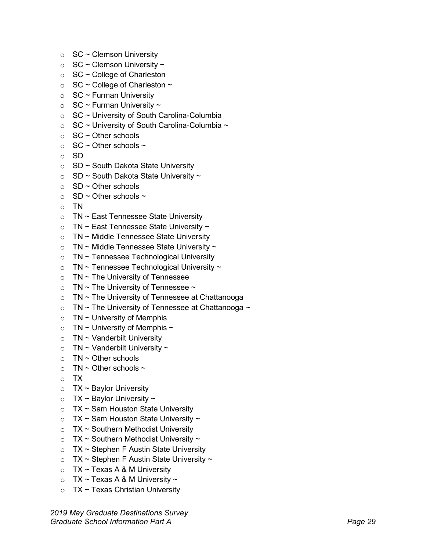- $\circ$  SC ~ Clemson University
- $\circ$  SC ~ Clemson University ~
- $\circ$  SC ~ College of Charleston
- $\circ$  SC ~ College of Charleston ~
- $\circ$  SC ~ Furman University
- $\circ$  SC ~ Furman University ~
- $\circ$  SC ~ University of South Carolina-Columbia
- $\circ$  SC ~ University of South Carolina-Columbia ~
- $\circ$  SC ~ Other schools
- $\circ$  SC ~ Other schools ~
- o SD
- $\circ$  SD ~ South Dakota State University
- $\circ$  SD ~ South Dakota State University ~
- $\circ$  SD ~ Other schools
- $\circ$  SD ~ Other schools ~
- o TN
- $\circ$  TN ~ East Tennessee State University
- $\circ$  TN ~ East Tennessee State University ~
- $\circ$  TN ~ Middle Tennessee State University
- $\circ$  TN ~ Middle Tennessee State University ~
- $\circ$  TN ~ Tennessee Technological University
- $\circ$  TN ~ Tennessee Technological University ~
- $\circ$  TN ~ The University of Tennessee
- $\circ$  TN ~ The University of Tennessee ~
- $\circ$  TN ~ The University of Tennessee at Chattanooga
- $\circ$  TN ~ The University of Tennessee at Chattanooga ~
- $\circ$  TN ~ University of Memphis
- $\circ$  TN ~ University of Memphis ~
- $\circ$  TN ~ Vanderbilt University
- $\circ$  TN ~ Vanderbilt University ~
- $\circ$  TN ~ Other schools
- $\circ$  TN ~ Other schools ~
- o TX
- $\circ$  TX ~ Baylor University
- $\circ$  TX ~ Baylor University ~
- $\circ$  TX ~ Sam Houston State University
- $\circ$  TX ~ Sam Houston State University ~
- $\circ$  TX ~ Southern Methodist University
- $\circ$  TX ~ Southern Methodist University ~
- $\circ$  TX ~ Stephen F Austin State University
- $\circ$  TX ~ Stephen F Austin State University ~
- $\circ$  TX ~ Texas A & M University
- $\circ$  TX ~ Texas A & M University ~
- $\circ$  TX ~ Texas Christian University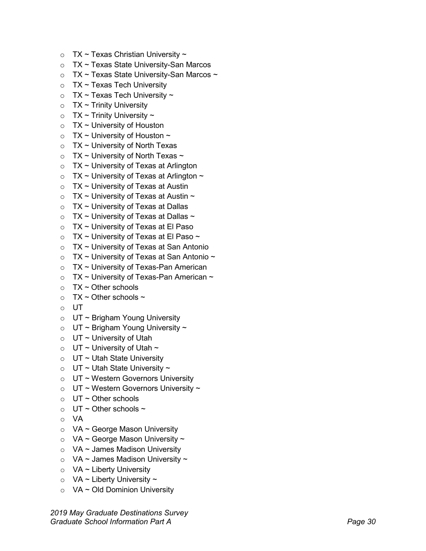- 
- 
- 
- 
- 
- 
- 
- 
- 
- 
- 
- 
- 
- 
- 
- 
- 
- 
- 
- 
- 
- 
- 
- 
- 
- 
- 
- 
- 
- 
- 
- 
- 
- 
- 
- 
- 
- 
- 
- 
- 
- 
- 
- 

*2019 May Graduate Destinations Survey* c TX - Texas Christian University-San Marcos<br>
2 TX - Texas State University-San Marcos<br>
2 TX - Texas State University-San Marcos<br>
2 TX - Texas Tech University<br>
2 TX - Texas Tech University<br>
2 TX - Trinty University<br>
2 TX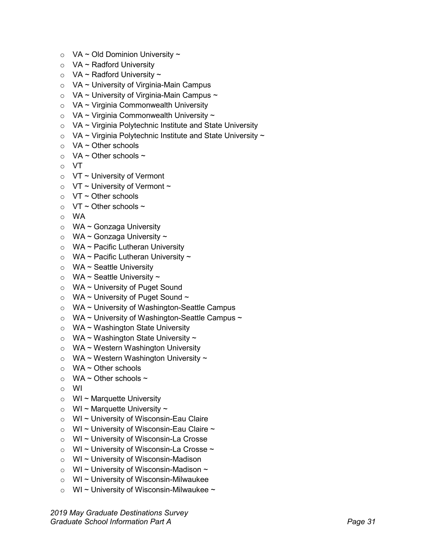- $\circ$  VA ~ Old Dominion University ~
- $\circ$  VA ~ Radford University
- $\circ$  VA ~ Radford University ~
- $\circ$  VA ~ University of Virginia-Main Campus
- $\circ$  VA ~ University of Virginia-Main Campus ~
- $\circ$  VA ~ Virginia Commonwealth University
- $\circ$  VA ~ Virginia Commonwealth University ~
- $\circ$  VA ~ Virginia Polytechnic Institute and State University
- $\circ$  VA ~ Virginia Polytechnic Institute and State University ~
- $\circ$  VA ~ Other schools
- $\circ$  VA ~ Other schools ~
- o VT
- $\circ$  VT ~ University of Vermont
- $\circ$  VT ~ University of Vermont ~
- $\circ$  VT ~ Other schools
- $\circ$  VT ~ Other schools ~
- o WA
- o WA ~ Gonzaga University
- $\circ$  WA ~ Gonzaga University ~
- $\circ$  WA ~ Pacific Lutheran University
- $\circ$  WA ~ Pacific Lutheran University ~
- $\circ$  WA ~ Seattle University
- $\circ$  WA ~ Seattle University ~
- o WA ~ University of Puget Sound
- $\circ$  WA ~ University of Puget Sound ~
- o WA ~ University of Washington-Seattle Campus
- $\circ$  WA ~ University of Washington-Seattle Campus ~
- o WA ~ Washington State University
- $\circ$  WA ~ Washington State University ~
- o WA ~ Western Washington University
- $\circ$  WA ~ Western Washington University ~
- $\circ$  WA ~ Other schools
- $\circ$  WA ~ Other schools ~
- o WI
- $\circ$  WI ~ Marquette University
- $\circ$  WI ~ Marquette University ~
- o WI ~ University of Wisconsin-Eau Claire
- $\circ$  WI ~ University of Wisconsin-Eau Claire ~
- o WI ~ University of Wisconsin-La Crosse
- $\circ$  WI ~ University of Wisconsin-La Crosse ~
- o WI ~ University of Wisconsin-Madison
- $\circ$  WI ~ University of Wisconsin-Madison ~
- o WI ~ University of Wisconsin-Milwaukee
- $\circ$  WI ~ University of Wisconsin-Milwaukee ~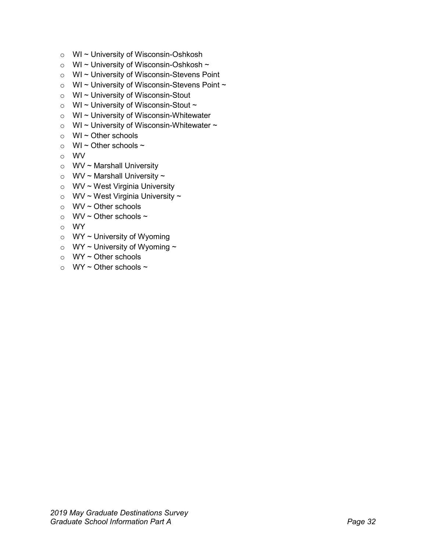- o WI ~ University of Wisconsin-Oshkosh
- $\circ$  WI ~ University of Wisconsin-Oshkosh ~
- o WI ~ University of Wisconsin-Stevens Point
- $\circ$  WI ~ University of Wisconsin-Stevens Point ~
- o WI ~ University of Wisconsin-Stout
- $\circ$  WI ~ University of Wisconsin-Stout ~
- o WI ~ University of Wisconsin-Whitewater
- $\circ$  WI ~ University of Wisconsin-Whitewater ~
- $\circ$  WI ~ Other schools
- $\circ$  WI ~ Other schools ~
- o WV
- o WV ~ Marshall University
- $\circ$  WV ~ Marshall University ~
- o WV ~ West Virginia University
- $\circ$  WV ~ West Virginia University ~
- o WV ~ Other schools
- $\circ$  WV ~ Other schools ~
- o WY
- $\circ$  WY ~ University of Wyoming
- $\circ$  WY ~ University of Wyoming ~
- $\circ$  WY ~ Other schools
- $\circ$  WY ~ Other schools ~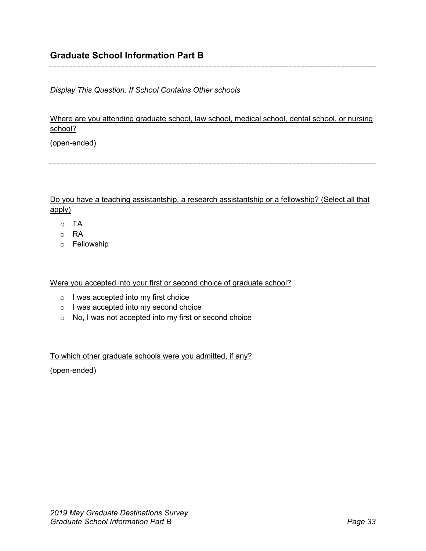<span id="page-32-0"></span>*Display This Question: If School Contains Other schools*

Where are you attending graduate school, law school, medical school, dental school, or nursing school?

(open-ended)

Do you have a teaching assistantship, a research assistantship or a fellowship? (Select all that apply)

- o TA
- o RA
- o Fellowship

Were you accepted into your first or second choice of graduate school?

- o I was accepted into my first choice
- o I was accepted into my second choice
- o No, I was not accepted into my first or second choice

To which other graduate schools were you admitted, if any?

(open-ended)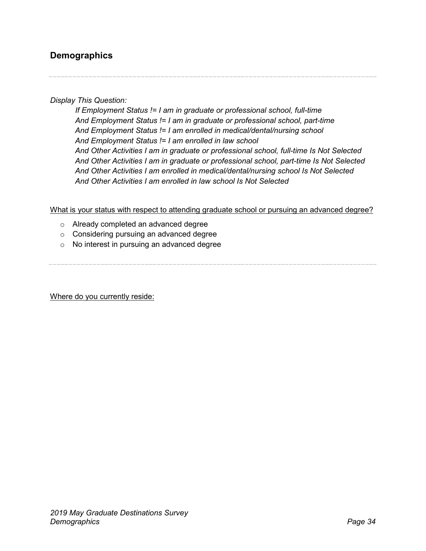## <span id="page-33-0"></span>**Demographics**

*Display This Question:*

*If Employment Status != I am in graduate or professional school, full-time And Employment Status != I am in graduate or professional school, part-time And Employment Status != I am enrolled in medical/dental/nursing school And Employment Status != I am enrolled in law school And Other Activities I am in graduate or professional school, full-time Is Not Selected And Other Activities I am in graduate or professional school, part-time Is Not Selected And Other Activities I am enrolled in medical/dental/nursing school Is Not Selected And Other Activities I am enrolled in law school Is Not Selected*

#### What is your status with respect to attending graduate school or pursuing an advanced degree?

- o Already completed an advanced degree
- o Considering pursuing an advanced degree
- o No interest in pursuing an advanced degree

Where do you currently reside: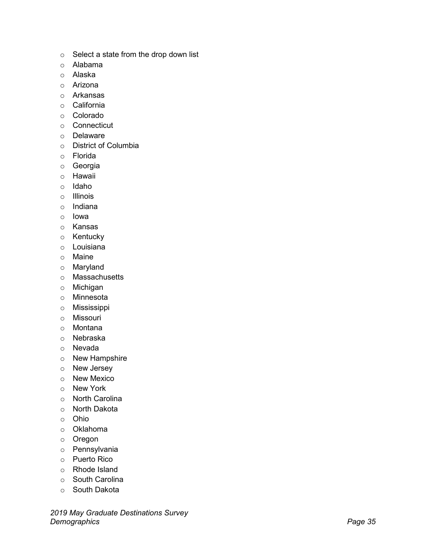- 
- 
- 
- 
- 
- 
- 
- 
- 
- 
- 
- 
- 
- 
- 
- 
- 
- 
- 
- 
- 
- 
- 
- 
- 
- 
- 
- 
- 
- 
- 
- 
- 
- 
- 
- 
- 
- 
- 
- 
- 
- 
- 
-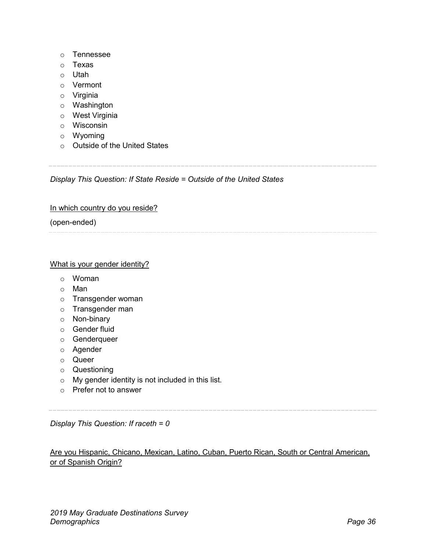- o Tennessee
- o Texas
- o Utah
- o Vermont
- o Virginia
- o Washington
- o West Virginia
- o Wisconsin
- o Wyoming
- o Outside of the United States

*Display This Question: If State Reside = Outside of the United States*

#### In which country do you reside?

(open-ended)

#### What is your gender identity?

- o Woman
- o Man
- o Transgender woman
- o Transgender man
- o Non-binary
- o Gender fluid
- o Genderqueer
- o Agender
- o Queer
- o Questioning
- o My gender identity is not included in this list.
- o Prefer not to answer

*Display This Question: If raceth = 0*

### Are you Hispanic, Chicano, Mexican, Latino, Cuban, Puerto Rican, South or Central American, or of Spanish Origin?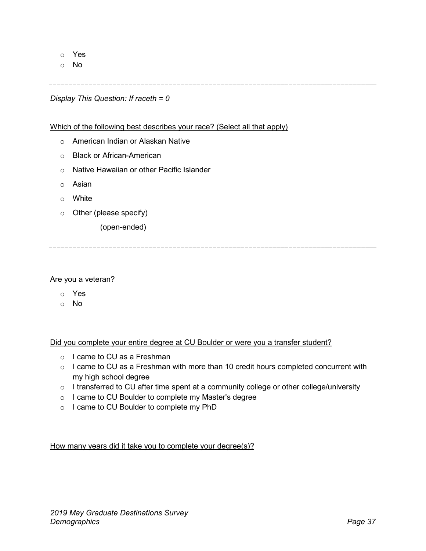o Yes

o No

*Display This Question: If raceth = 0*

Which of the following best describes your race? (Select all that apply)

- o American Indian or Alaskan Native
- o Black or African-American
- o Native Hawaiian or other Pacific Islander
- o Asian
- o White
- o Other (please specify)

(open-ended)

#### Are you a veteran?

- o Yes
- o No

Did you complete your entire degree at CU Boulder or were you a transfer student?

- o I came to CU as a Freshman
- o I came to CU as a Freshman with more than 10 credit hours completed concurrent with my high school degree
- $\circ$  I transferred to CU after time spent at a community college or other college/university
- o I came to CU Boulder to complete my Master's degree
- o I came to CU Boulder to complete my PhD

How many years did it take you to complete your degree(s)?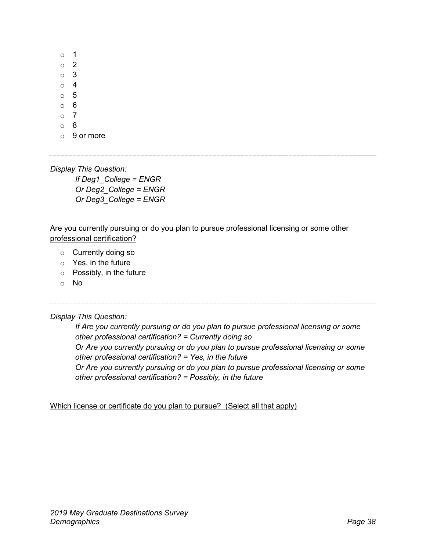o 1 o 2 o 3 o 4 o 5 o 6 o 7 o 8

o 9 or more

*Display This Question:*

*If Deg1\_College = ENGR Or Deg2\_College = ENGR Or Deg3\_College = ENGR*

#### Are you currently pursuing or do you plan to pursue professional licensing or some other professional certification?

- o Currently doing so
- $\circ$  Yes, in the future
- o Possibly, in the future
- o No

*Display This Question:*

*If Are you currently pursuing or do you plan to pursue professional licensing or some other professional certification? = Currently doing so Or Are you currently pursuing or do you plan to pursue professional licensing or some other professional certification? = Yes, in the future Or Are you currently pursuing or do you plan to pursue professional licensing or some other professional certification? = Possibly, in the future*

Which license or certificate do you plan to pursue? (Select all that apply)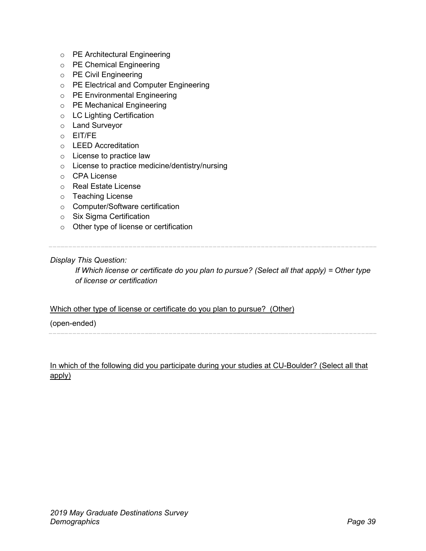- o PE Architectural Engineering
- o PE Chemical Engineering
- o PE Civil Engineering
- o PE Electrical and Computer Engineering
- o PE Environmental Engineering
- o PE Mechanical Engineering
- o LC Lighting Certification
- o Land Surveyor
- o EIT/FE
- o LEED Accreditation
- o License to practice law
- o License to practice medicine/dentistry/nursing
- o CPA License
- o Real Estate License
- o Teaching License
- o Computer/Software certification
- o Six Sigma Certification
- o Other type of license or certification

#### *Display This Question:*

*If Which license or certificate do you plan to pursue? (Select all that apply) = Other type of license or certification*

#### Which other type of license or certificate do you plan to pursue? (Other)

#### (open-ended)

#### In which of the following did you participate during your studies at CU-Boulder? (Select all that apply)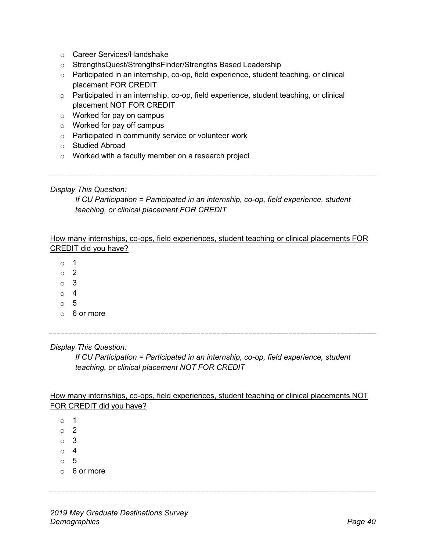- o Career Services/Handshake
- o StrengthsQuest/StrengthsFinder/Strengths Based Leadership
- $\circ$  Participated in an internship, co-op, field experience, student teaching, or clinical placement FOR CREDIT
- o Participated in an internship, co-op, field experience, student teaching, or clinical placement NOT FOR CREDIT
- o Worked for pay on campus
- o Worked for pay off campus
- o Participated in community service or volunteer work
- o Studied Abroad
- $\circ$  Worked with a faculty member on a research project

#### *Display This Question:*

*If CU Participation = Participated in an internship, co-op, field experience, student teaching, or clinical placement FOR CREDIT*

How many internships, co-ops, field experiences, student teaching or clinical placements FOR CREDIT did you have?

- o 1
- o 2
- o 3
- o 4
- o 5
- o 6 or more

*Display This Question:*

*If CU Participation = Participated in an internship, co-op, field experience, student teaching, or clinical placement NOT FOR CREDIT*

How many internships, co-ops, field experiences, student teaching or clinical placements NOT FOR CREDIT did you have?

o 1 o 2 o 3 o 4 o 5 o 6 or more